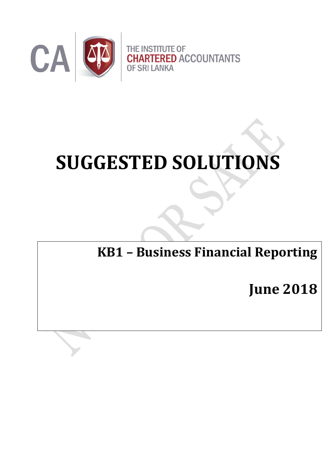

# **SUGGESTED SOLUTIONS**

**KB1 – Business Financial Reporting**

**June 2018**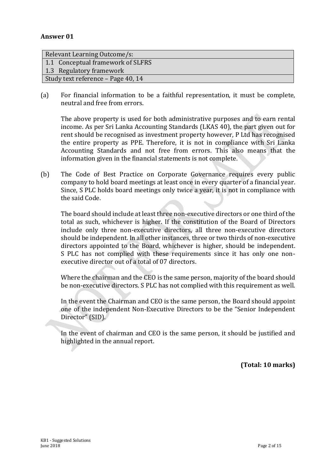| Relevant Learning Outcome/s:       |
|------------------------------------|
| 1.1 Conceptual framework of SLFRS  |
| 1.3 Regulatory framework           |
| Study text reference – Page 40, 14 |

(a) For financial information to be a faithful representation, it must be complete, neutral and free from errors.

The above property is used for both administrative purposes and to earn rental income. As per Sri Lanka Accounting Standards (LKAS 40), the part given out for rent should be recognised as investment property however, P Ltd has recognised the entire property as PPE. Therefore, it is not in compliance with Sri Lanka Accounting Standards and not free from errors. This also means that the information given in the financial statements is not complete.

(b) The Code of Best Practice on Corporate Governance requires every public company to hold board meetings at least once in every quarter of a financial year. Since, S PLC holds board meetings only twice a year, it is not in compliance with the said Code.

The board should include at least three non-executive directors or one third of the total as such, whichever is higher. If the constitution of the Board of Directors include only three non-executive directors, all three non-executive directors should be independent. In all other instances, three or two thirds of non-executive directors appointed to the Board, whichever is higher, should be independent. S PLC has not complied with these requirements since it has only one nonexecutive director out of a total of 07 directors.

Where the chairman and the CEO is the same person, majority of the board should be non-executive directors. S PLC has not complied with this requirement as well.

In the event the Chairman and CEO is the same person, the Board should appoint one of the independent Non-Executive Directors to be the "Senior Independent Director" (SID).

In the event of chairman and CEO is the same person, it should be justified and highlighted in the annual report.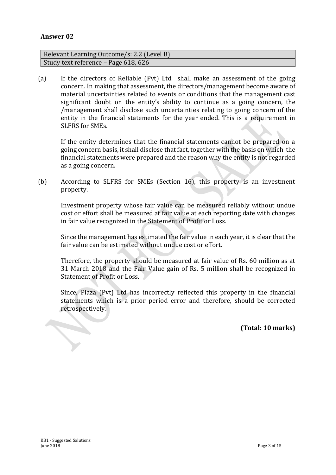| Relevant Learning Outcome/s: 2.2 (Level B) |
|--------------------------------------------|
| Study text reference – Page 618, 626       |

(a) If the directors of Reliable (Pvt) Ltd shall make an assessment of the going concern. In making that assessment, the directors/management become aware of material uncertainties related to events or conditions that the management cast significant doubt on the entity's ability to continue as a going concern, the /management shall disclose such uncertainties relating to going concern of the entity in the financial statements for the year ended. This is a requirement in SLFRS for SMEs.

If the entity determines that the financial statements cannot be prepared on a going concern basis, it shall disclose that fact, together with the basis on which the financial statements were prepared and the reason why the entity is not regarded as a going concern.

(b) According to SLFRS for SMEs (Section 16), this property is an investment property.

Investment property whose fair value can be measured reliably without undue cost or effort shall be measured at fair value at each reporting date with changes in fair value recognized in the Statement of Profit or Loss.

Since the management has estimated the fair value in each year, it is clear that the fair value can be estimated without undue cost or effort.

Therefore, the property should be measured at fair value of Rs. 60 million as at 31 March 2018 and the Fair Value gain of Rs. 5 million shall be recognized in Statement of Profit or Loss.

Since, Plaza (Pvt) Ltd has incorrectly reflected this property in the financial statements which is a prior period error and therefore, should be corrected retrospectively.

**(Total: 10 marks)**

 $\overline{\phantom{0}}$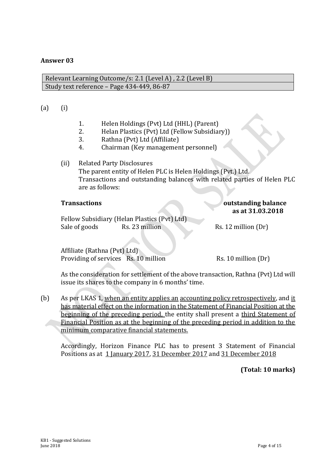Relevant Learning Outcome/s: 2.1 (Level A) , 2.2 (Level B) Study text reference – Page 434-449, 86-87

#### (a) (i)

- 1. Helen Holdings (Pvt) Ltd (HHL) (Parent)
- 2. Helan Plastics (Pvt) Ltd (Fellow Subsidiary))
- 3. Rathna (Pvt) Ltd (Affiliate)
- 4. Chairman (Key management personnel)
- (ii)Related Party Disclosures The parent entity of Helen PLC is Helen Holdings (Pvt.) Ltd. Transactions and outstanding balances with related parties of Helen PLC are as follows:

#### **Transactions outstanding balance as at 31.03.2018**

Fellow Subsidiary (Helan Plastics (Pvt) Ltd) Sale of goods Rs. 23 million Rs. 12 million (Dr)

Affiliate (Rathna (Pvt) Ltd) Providing of services Rs. 10 million Rs. 10 million (Dr)

As the consideration for settlement of the above transaction, Rathna (Pvt) Ltd will issue its shares to the company in 6 months' time.

(b) As per LKAS 1, when an entity applies an accounting policy retrospectively, and it has material effect on the information in the Statement of Financial Position at the beginning of the preceding period, the entity shall present a third Statement of Financial Position as at the beginning of the preceding period in addition to the minimum comparative financial statements.

Accordingly, Horizon Finance PLC has to present 3 Statement of Financial Positions as at 1 January 2017, 31 December 2017 and 31 December 2018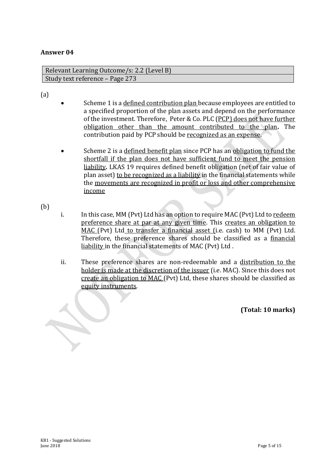Relevant Learning Outcome/s: 2.2 (Level B) Study text reference – Page 273

(a)

- Scheme 1 is a defined contribution plan because employees are entitled to a specified proportion of the plan assets and depend on the performance of the investment. Therefore, Peter & Co. PLC (PCP) does not have further obligation other than the amount contributed to the plan**.** The contribution paid by PCP should be recognized as an expense.
- Scheme 2 is a defined benefit plan since PCP has an obligation to fund the shortfall if the plan does not have sufficient fund to meet the pension liability*.* LKAS 19 requires defined benefit obligation (net of fair value of plan asset) to be recognized as a liability in the financial statements while the movements are recognized in profit or loss and other comprehensive income

(b)

- i. In this case, MM (Pvt) Ltd has an option to require MAC (Pvt) Ltd to redeem preference share at par at any given time. This creates an obligation to MAC (Pvt) Ltd to transfer a financial asset (i.e. cash) to MM (Pvt) Ltd. Therefore, these preference shares should be classified as a financial liability in the financial statements of MAC (Pvt) Ltd .
- ii. These preference shares are non-redeemable and a distribution to the holder is made at the discretion of the issuer (i.e. MAC). Since this does not create an obligation to MAC (Pvt) Ltd, these shares should be classified as equity instruments.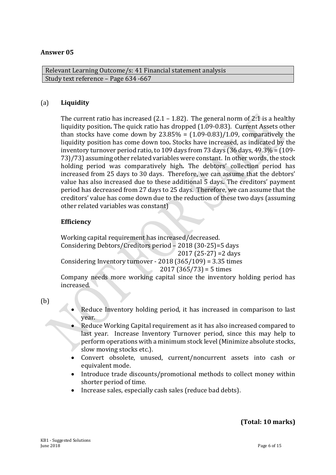Relevant Learning Outcome/s: 41 Financial statement analysis Study text reference – Page 634 -667

#### (a) **Liquidity**

The current ratio has increased  $(2.1 - 1.82)$ . The general norm of 2:1 is a healthy liquidity position*.* The quick ratio has dropped (1.09-0.83). Current Assets other than stocks have come down by  $23.85\% = (1.09-0.83)/1.09$ , comparatively the liquidity position has come down too*.* Stocks have increased, as indicated by the inventory turnover period ratio, to 109 days from 73 days (36 days, 49.3% = (109- 73)/73) assuming other related variables were constant. In other words, the stock holding period was comparatively high*.* The debtors' collection period has increased from 25 days to 30 days. Therefore, we can assume that the debtors' value has also increased due to these additional 5 days*.* The creditors' payment period has decreased from 27 days to 25 days. Therefore, we can assume that the creditors' value has come down due to the reduction of these two days (assuming other related variables was constant)

#### **Efficiency**

Working capital requirement has increased/decreased. Considering Debtors/Creditors period – 2018 (30-25)=5 days 2017 (25-27) =2 days Considering Inventory turnover - 2018 (365/109) = 3.35 times  $2017 (365/73) = 5$  times

Company needs more working capital since the inventory holding period has increased.

(b)

- Reduce Inventory holding period, it has increased in comparison to last year.
- Reduce Working Capital requirement as it has also increased compared to last year. Increase Inventory Turnover period, since this may help to perform operations with a minimum stock level(Minimize absolute stocks, slow moving stocks etc.).
- Convert obsolete, unused, current/noncurrent assets into cash or equivalent mode.
- Introduce trade discounts/promotional methods to collect money within shorter period of time.
- Increase sales, especially cash sales (reduce bad debts).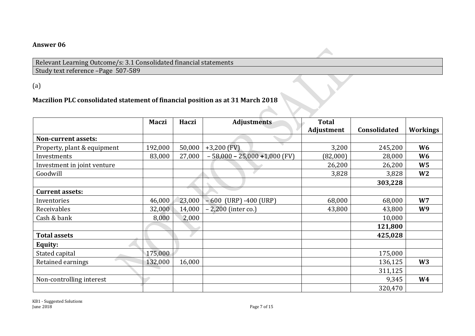Relevant Learning Outcome/s: 3.1 Consolidated financial statements Study text reference –Page 507-589

(a)

# **Maczilion PLC consolidated statement of financial position as at 31 March 2018**

|                             | <b>Maczi</b> | Haczi  | <b>Adjustments</b>              | <b>Total</b> |              |                 |
|-----------------------------|--------------|--------|---------------------------------|--------------|--------------|-----------------|
|                             |              |        |                                 | Adjustment   | Consolidated | <b>Workings</b> |
| Non-current assets:         |              |        |                                 |              |              |                 |
| Property, plant & equipment | 192,000      | 50,000 | $+3,200$ (FV)                   | 3,200        | 245,200      | W <sub>6</sub>  |
| Investments                 | 83,000       | 27,000 | $-58,000 - 25,000 + 1,000$ (FV) | (82,000)     | 28,000       | W6              |
| Investment in joint venture |              |        |                                 | 26,200       | 26,200       | W <sub>5</sub>  |
| Goodwill                    |              |        |                                 | 3,828        | 3,828        | W <sub>2</sub>  |
|                             |              |        |                                 |              | 303,228      |                 |
| <b>Current assets:</b>      |              |        |                                 |              |              |                 |
| Inventories                 | 46,000       | 23,000 | $-600$ (URP) $-400$ (URP)       | 68,000       | 68,000       | W7              |
| Receivables                 | 32,000       | 14,000 | $-2,200$ (inter co.)            | 43,800       | 43,800       | W9              |
| Cash & bank                 | 8,000        | 2,000  |                                 |              | 10,000       |                 |
|                             |              |        |                                 |              | 121,800      |                 |
| <b>Total assets</b>         |              |        |                                 |              | 425,028      |                 |
| Equity:                     |              |        |                                 |              |              |                 |
| Stated capital              | 175,000      |        |                                 |              | 175,000      |                 |
| Retained earnings           | 132,000      | 16,000 |                                 |              | 136,125      | W <sub>3</sub>  |
|                             |              |        |                                 |              | 311,125      |                 |
| Non-controlling interest    |              |        |                                 |              | 9,345        | <b>W4</b>       |
|                             |              |        |                                 |              | 320,470      |                 |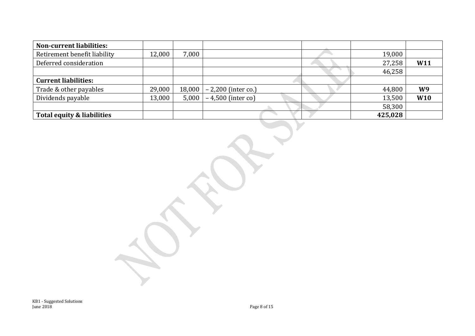| <b>Non-current liabilities:</b> |        |        |                      |         |     |
|---------------------------------|--------|--------|----------------------|---------|-----|
| Retirement benefit liability    | 12,000 | 7,000  |                      | 19,000  |     |
| Deferred consideration          |        |        |                      | 27,258  | W11 |
|                                 |        |        |                      | 46,258  |     |
| <b>Current liabilities:</b>     |        |        |                      |         |     |
| Trade & other payables          | 29,000 | 18,000 | $-2,200$ (inter co.) | 44,800  | W9  |
| Dividends payable               | 13,000 | 5,000  | $-4,500$ (inter co)  | 13,500  | W10 |
|                                 |        |        |                      | 58,300  |     |
| Total equity & liabilities      |        |        |                      | 425,028 |     |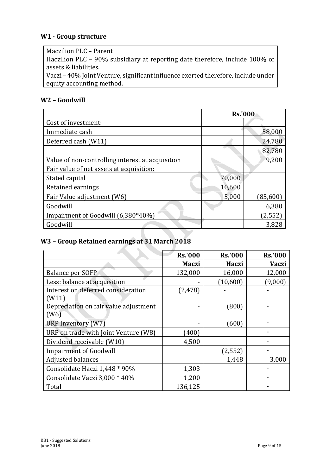### **W1 - Group structure**

| Maczilion PLC - Parent                                                            |
|-----------------------------------------------------------------------------------|
| Haczilion PLC - 90% subsidiary at reporting date therefore, include 100% of       |
| assets & liabilities.                                                             |
| Vaczi – 40% Joint Venture, significant influence exerted therefore, include under |
| equity accounting method.                                                         |

#### **W2 – Goodwill**

|                                                  | <b>Rs.'000</b> |           |  |
|--------------------------------------------------|----------------|-----------|--|
| Cost of investment:                              |                |           |  |
| Immediate cash                                   |                | 58,000    |  |
| Deferred cash (W11)                              |                | 24,780    |  |
|                                                  |                | 82,780    |  |
| Value of non-controlling interest at acquisition |                | 9,200     |  |
| Fair value of net assets at acquisition:         |                |           |  |
| Stated capital                                   | 70,000         |           |  |
| Retained earnings                                | 10,600         |           |  |
| Fair Value adjustment (W6)                       | 5,000          | (85, 600) |  |
| Goodwill                                         |                | 6,380     |  |
| Impairment of Goodwill (6,380*40%)               |                | (2, 552)  |  |
| Goodwill                                         |                | 3,828     |  |

# **W3 – Group Retained earnings at 31 March 2018**

|                                       | <b>Rs.'000</b> | <b>Rs.'000</b> | <b>Rs.'000</b> |
|---------------------------------------|----------------|----------------|----------------|
|                                       | Maczi          | Haczi          | <b>Vaczi</b>   |
| Balance per SOFP                      | 132,000        | 16,000         | 12,000         |
| Less: balance at acquisition          |                | (10, 600)      | (9,000)        |
| Interest on deferred consideration    | (2, 478)       |                |                |
| (W11)                                 |                |                |                |
| Depreciation on fair value adjustment |                | (800)          |                |
| (W6)                                  |                |                |                |
| URP Inventory (W7)                    |                | (600)          |                |
| URP on trade with Joint Venture (W8)  | (400)          |                |                |
| Dividend receivable (W10)             | 4,500          |                |                |
| <b>Impairment of Goodwill</b>         |                | (2,552)        |                |
| Adjusted balances                     |                | 1,448          | 3,000          |
| Consolidate Haczi 1,448 * 90%         | 1,303          |                |                |
| Consolidate Vaczi 3,000 * 40%         | 1,200          |                |                |
| Total                                 | 136,125        |                |                |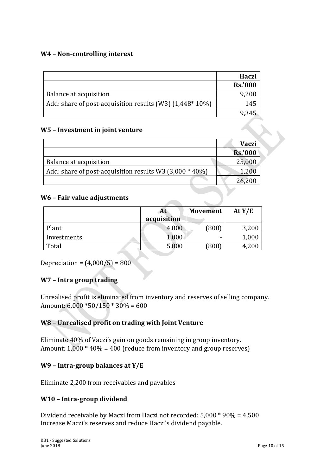#### **W4 – Non-controlling interest**

|                                                         | Haczi          |
|---------------------------------------------------------|----------------|
|                                                         | <b>Rs.'000</b> |
| Balance at acquisition                                  | 9,200          |
| Add: share of post-acquisition results (W3) (1,448*10%) | 145            |
|                                                         |                |

#### **W5 – Investment in joint venture**

|                                                         | <b>Vaczi</b>   |
|---------------------------------------------------------|----------------|
|                                                         | <b>Rs.'000</b> |
| Balance at acquisition                                  | 25,000         |
| Add: share of post-acquisition results W3 (3,000 * 40%) |                |
|                                                         |                |

#### **W6 – Fair value adjustments**

|             | At<br>acquisition | <b>Movement</b> | At Y/E |
|-------------|-------------------|-----------------|--------|
| Plant       | 4,000             | (800)           | 3,200  |
| Investments | $1,\!000$         | -               | 1,000  |
| Total       | 5,000             | (800)           |        |

Depreciation =  $(4,000/5) = 800$ 

#### **W7 – Intra group trading**

Unrealised profit is eliminated from inventory and reserves of selling company. Amount: 6,000 \*50/150 \* 30% = 600

#### **W8 – Unrealised profit on trading with Joint Venture**

Eliminate 40% of Vaczi's gain on goods remaining in group inventory. Amount:  $1,000 * 40\% = 400$  (reduce from inventory and group reserves)

#### **W9 – Intra-group balances at Y/E**

Eliminate 2,200 from receivables and payables

#### **W10 – Intra-group dividend**

Dividend receivable by Maczi from Haczi not recorded: 5,000 \* 90% = 4,500 Increase Maczi's reserves and reduce Haczi's dividend payable.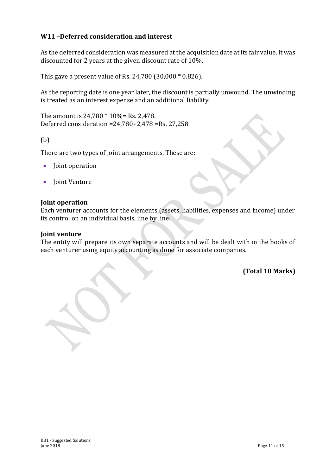#### **W11 –Deferred consideration and interest**

As the deferred consideration was measured at the acquisition date at its fair value, it was discounted for 2 years at the given discount rate of 10%.

This gave a present value of Rs. 24,780 (30,000 \* 0.826).

As the reporting date is one year later, the discount is partially unwound. The unwinding is treated as an interest expense and an additional liability.

The amount is 24,780 \* 10%= Rs. 2,478. Deferred consideration =24,780+2,478 =Rs. 27,258

(b)

There are two types of joint arrangements. These are:

- Joint operation
- Joint Venture

#### **Joint operation**

Each venturer accounts for the elements (assets, liabilities, expenses and income) under its control on an individual basis, line by line.

#### **Joint venture**

The entity will prepare its own separate accounts and will be dealt with in the books of each venturer using equity accounting as done for associate companies.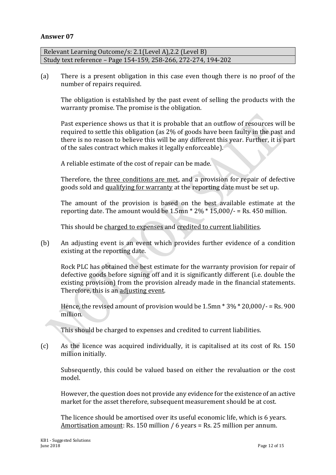Relevant Learning Outcome/s: 2.1(Level A),2.2 (Level B) Study text reference – Page 154-159, 258-266, 272-274, 194-202

(a) There is a present obligation in this case even though there is no proof of the number of repairs required.

The obligation is established by the past event of selling the products with the warranty promise. The promise is the obligation.

Past experience shows us that it is probable that an outflow of resources will be required to settle this obligation (as 2% of goods have been faulty in the past and there is no reason to believe this will be any different this year. Further, it is part of the sales contract which makes it legally enforceable).

A reliable estimate of the cost of repair can be made.

Therefore, the three conditions are met, and a provision for repair of defective goods sold and qualifying for warranty at the reporting date must be set up.

The amount of the provision is based on the best available estimate at the reporting date. The amount would be  $1.5 \text{mn} * 2\% * 15,000/ - = \text{Rs. } 450 \text{ million.}$ 

This should be charged to expenses and credited to current liabilities.

(b) An adjusting event is an event which provides further evidence of a condition existing at the reporting date.

Rock PLC has obtained the best estimate for the warranty provision for repair of defective goods before signing off and it is significantly different (i.e. double the existing provision) from the provision already made in the financial statements. Therefore, this is an adjusting event.

Hence, the revised amount of provision would be  $1.5$ mn  $*$  3%  $*$  20,000/- = Rs. 900 million.

This should be charged to expenses and credited to current liabilities.

(c) As the licence was acquired individually, it is capitalised at its cost of Rs. 150 million initially.

Subsequently, this could be valued based on either the revaluation or the cost model.

However, the question does not provide any evidence for the existence of an active market for the asset therefore, subsequent measurement should be at cost.

The licence should be amortised over its useful economic life, which is 6 years. Amortisation amount: Rs. 150 million / 6 years = Rs. 25 million per annum.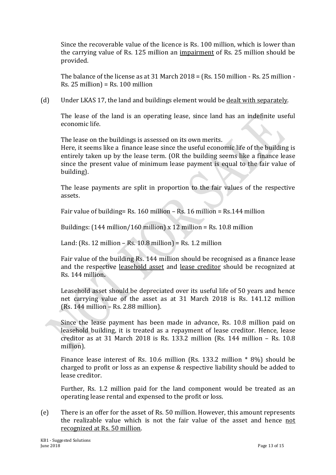Since the recoverable value of the licence is Rs. 100 million, which is lower than the carrying value of Rs. 125 million an impairment of Rs. 25 million should be provided.

The balance of the license as at 31 March 2018 = (Rs. 150 million - Rs. 25 million -  $Rs. 25$  million) = Rs. 100 million

(d) Under LKAS 17, the land and buildings element would be dealt with separately.

The lease of the land is an operating lease, since land has an indefinite useful economic life.

The lease on the buildings is assessed on its own merits.

Here, it seems like a finance lease since the useful economic life of the building is entirely taken up by the lease term. (OR the building seems like a finance lease since the present value of minimum lease payment is equal to the fair value of building).

The lease payments are split in proportion to the fair values of the respective assets.

Fair value of building= Rs. 160 million – Rs. 16 million = Rs.144 million

Buildings:  $(144 \text{ million}/160 \text{ million}) \times 12 \text{ million} = \text{Rs}. 10.8 \text{ million}$ 

Land: (Rs. 12 million – Rs. 10.8 million) = Rs. 1.2 million

Fair value of the building Rs. 144 million should be recognised as a finance lease and the respective leasehold asset and lease creditor should be recognized at Rs. 144 million**.**

Leasehold asset should be depreciated over its useful life of 50 years and hence net carrying value of the asset as at 31 March 2018 is Rs. 141.12 million (Rs. 144 million – Rs. 2.88 million).

Since the lease payment has been made in advance, Rs. 10.8 million paid on leasehold building, it is treated as a repayment of lease creditor. Hence, lease creditor as at 31 March 2018 is Rs. 133.2 million (Rs. 144 million – Rs. 10.8 million).

Finance lease interest of Rs. 10.6 million (Rs. 133.2 million \* 8%) should be charged to profit or loss as an expense & respective liability should be added to lease creditor.

Further, Rs. 1.2 million paid for the land component would be treated as an operating lease rental and expensed to the profit or loss.

(e) There is an offer for the asset of Rs. 50 million. However, this amount represents the realizable value which is not the fair value of the asset and hence not recognized at Rs. 50 million.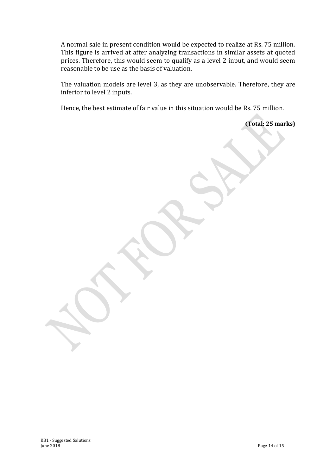A normal sale in present condition would be expected to realize at Rs. 75 million. This figure is arrived at after analyzing transactions in similar assets at quoted prices. Therefore, this would seem to qualify as a level 2 input, and would seem reasonable to be use as the basis of valuation.

The valuation models are level 3, as they are unobservable. Therefore, they are inferior to level 2 inputs.

Hence, the best estimate of fair value in this situation would be Rs. 75 million.

**(Total: 25 marks)**